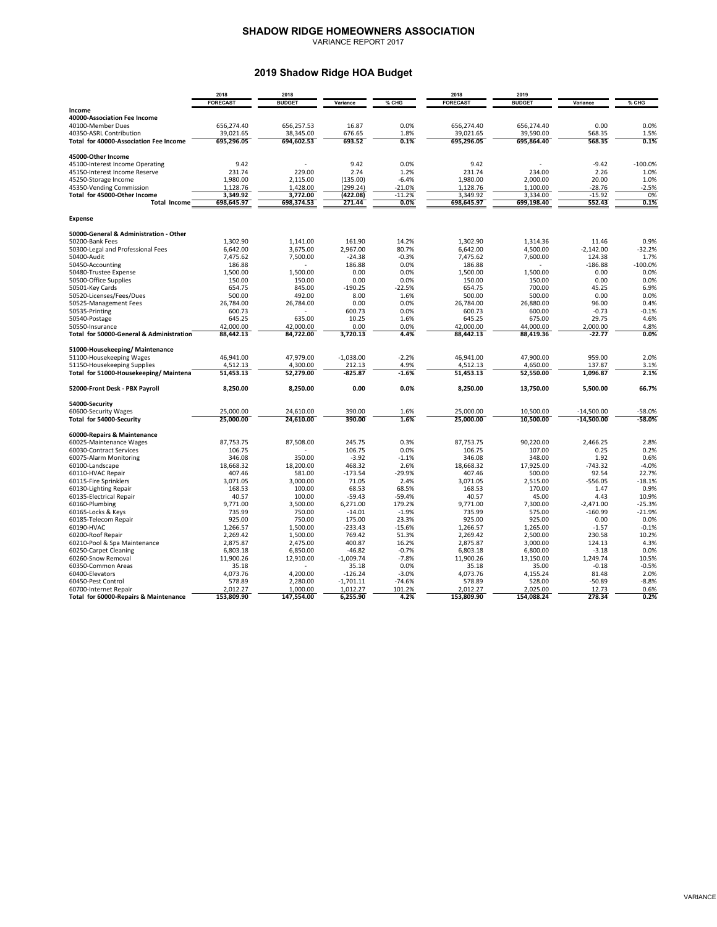## **SHADOW RIDGE HOMEOWNERS ASSOCIATION**

VARIANCE REPORT 2017

## **2019 Shadow Ridge HOA Budget**

|                                                      | 2018<br>2018           |                        |                    |                     | 2018                   | 2019                   |                      |                  |  |
|------------------------------------------------------|------------------------|------------------------|--------------------|---------------------|------------------------|------------------------|----------------------|------------------|--|
|                                                      | <b>FORECAST</b>        | <b>BUDGET</b>          | Variance           | % CHG               | <b>FORECAST</b>        | <b>BUDGET</b>          | Variance             | % CHG            |  |
| Income                                               |                        |                        |                    |                     |                        |                        |                      |                  |  |
| 40000-Association Fee Income                         |                        |                        |                    |                     |                        |                        |                      |                  |  |
| 40100-Member Dues                                    | 656.274.40             | 656.257.53             | 16.87              | 0.0%                | 656.274.40             | 656.274.40             | 0.00                 | 0.0%             |  |
| 40350-ASRL Contribution                              | 39,021.65              | 38,345.00              | 676.65             | 1.8%                | 39,021.65              | 39,590.00              | 568.35               | 1.5%             |  |
| Total for 40000-Association Fee Income               | 695,296.05             | 694,602.53             | 693.52             | 0.1%                | 695,296.05             | 695,864.40             | 568.35               | 0.1%             |  |
| 45000-Other Income                                   |                        |                        |                    |                     |                        |                        |                      |                  |  |
| 45100-Interest Income Operating                      | 9.42                   |                        | 9.42               | 0.0%                | 9.42                   |                        | $-9.42$              | $-100.0%$        |  |
| 45150-Interest Income Reserve                        | 231.74                 | 229.00                 | 2.74               | 1.2%                | 231.74                 | 234.00                 | 2.26                 | 1.0%             |  |
| 45250-Storage Income                                 | 1,980.00               | 2,115.00               | (135.00)           | $-6.4%$             | 1,980.00               | 2,000.00               | 20.00                | 1.0%             |  |
| 45350-Vending Commission                             | 1,128.76               | 1,428.00               | (299.24)           | $-21.0%$            | 1,128.76               | 1,100.00               | $-28.76$             | $-2.5%$          |  |
| Total for 45000-Other Income<br><b>Total Income</b>  | 3,349.92<br>698,645.97 | 3,772.00<br>698,374.53 | (422.08)<br>271.44 | $-11.2%$<br>$0.0\%$ | 3,349.92<br>698,645.97 | 3,334.00<br>699,198.40 | $-15.92$<br>552.43   | 0%<br>0.1%       |  |
| <b>Expense</b>                                       |                        |                        |                    |                     |                        |                        |                      |                  |  |
|                                                      |                        |                        |                    |                     |                        |                        |                      |                  |  |
| 50000-General & Administration - Other               |                        |                        | 161.90             |                     |                        |                        |                      |                  |  |
| 50200-Bank Fees<br>50300-Legal and Professional Fees | 1,302.90<br>6,642.00   | 1,141.00<br>3,675.00   | 2,967.00           | 14.2%<br>80.7%      | 1,302.90<br>6,642.00   | 1,314.36<br>4,500.00   | 11.46<br>$-2,142.00$ | 0.9%<br>$-32.2%$ |  |
| 50400-Audit                                          | 7,475.62               | 7,500.00               | $-24.38$           | $-0.3%$             | 7,475.62               | 7,600.00               | 124.38               | 1.7%             |  |
| 50450-Accounting                                     | 186.88                 |                        | 186.88             | 0.0%                | 186.88                 |                        | $-186.88$            | $-100.0%$        |  |
| 50480-Trustee Expense                                | 1,500.00               | 1,500.00               | 0.00               | 0.0%                | 1,500.00               | 1,500.00               | 0.00                 | 0.0%             |  |
| 50500-Office Supplies                                | 150.00                 | 150.00                 | 0.00               | 0.0%                | 150.00                 | 150.00                 | 0.00                 | 0.0%             |  |
| 50501-Key Cards                                      | 654.75                 | 845.00                 | $-190.25$          | $-22.5%$            | 654.75                 | 700.00                 | 45.25                | 6.9%             |  |
| 50520-Licenses/Fees/Dues                             | 500.00                 | 492.00                 | 8.00               | 1.6%                | 500.00                 | 500.00                 | 0.00                 | 0.0%             |  |
| 50525-Management Fees                                | 26.784.00              | 26,784.00              | 0.00               | 0.0%                | 26,784.00              | 26,880.00              | 96.00                | 0.4%             |  |
| 50535-Printing                                       | 600.73                 |                        | 600.73             | 0.0%                | 600.73                 | 600.00                 | $-0.73$              | $-0.1%$          |  |
| 50540-Postage                                        | 645.25                 | 635.00                 | 10.25              | 1.6%                | 645.25                 | 675.00                 | 29.75                | 4.6%             |  |
| 50550-Insurance                                      | 42,000.00              | 42,000.00              | 0.00               | 0.0%                | 42,000.00              | 44,000.00              | 2,000.00             | 4.8%             |  |
| Total for 50000-General & Administration             | 88,442.13              | 84,722.00              | 3,720.13           | 4.4%                | 88,442.13              | 88,419.36              | $-22.77$             | 0.0%             |  |
| 51000-Housekeeping/ Maintenance                      |                        |                        |                    |                     |                        |                        |                      |                  |  |
| 51100-Housekeeping Wages                             | 46.941.00              | 47.979.00              | $-1.038.00$        | $-2.2%$             | 46.941.00              | 47.900.00              | 959.00               | 2.0%             |  |
| 51150-Housekeeping Supplies                          | 4,512.13               | 4,300.00               | 212.13             | 4.9%                | 4,512.13               | 4,650.00               | 137.87               | 3.1%             |  |
| Total for 51000-Housekeeping/ Maintena               | 51,453.13              | 52,279.00              | $-825.87$          | $-1.6%$             | 51,453.13              | 52,550.00              | 1.096.87             | 2.1%             |  |
| 52000-Front Desk - PBX Payroll                       | 8,250.00               | 8,250.00               | 0.00               | 0.0%                | 8,250.00               | 13,750.00              | 5,500.00             | 66.7%            |  |
| 54000-Security                                       |                        |                        |                    |                     |                        |                        |                      |                  |  |
| 60600-Security Wages                                 | 25,000.00              | 24,610.00              | 390.00             | 1.6%                | 25,000.00              | 10,500.00              | $-14,500.00$         | $-58.0%$         |  |
| Total for 54000-Security                             | 25,000.00              | 24,610.00              | 390.00             | 1.6%                | 25.000.00              | 10,500.00              | -14,500.00           | $-58.0%$         |  |
| 60000-Repairs & Maintenance                          |                        |                        |                    |                     |                        |                        |                      |                  |  |
| 60025-Maintenance Wages                              | 87,753.75              | 87,508.00              | 245.75             | 0.3%                | 87.753.75              | 90,220.00              | 2,466.25             | 2.8%             |  |
| 60030-Contract Services                              | 106.75                 |                        | 106.75             | 0.0%                | 106.75                 | 107.00                 | 0.25                 | 0.2%             |  |
| 60075-Alarm Monitoring                               | 346.08                 | 350.00                 | $-3.92$            | $-1.1%$             | 346.08                 | 348.00                 | 1.92                 | 0.6%             |  |
| 60100-Landscape                                      | 18,668.32              | 18,200.00              | 468.32             | 2.6%                | 18,668.32              | 17,925.00              | $-743.32$            | $-4.0%$          |  |
| 60110-HVAC Repair                                    | 407.46                 | 581.00                 | $-173.54$          | $-29.9%$            | 407.46                 | 500.00                 | 92.54                | 22.7%            |  |
| 60115-Fire Sprinklers                                | 3,071.05               | 3,000.00               | 71.05              | 2.4%                | 3,071.05               | 2,515.00               | $-556.05$            | $-18.1%$<br>0.9% |  |
| 60130-Lighting Repair<br>60135-Electrical Repair     | 168.53<br>40.57        | 100.00<br>100.00       | 68.53<br>$-59.43$  | 68.5%<br>$-59.4%$   | 168.53<br>40.57        | 170.00<br>45.00        | 1.47<br>4.43         | 10.9%            |  |
| 60160-Plumbing                                       | 9,771.00               | 3,500.00               | 6,271.00           | 179.2%              | 9,771.00               | 7,300.00               | $-2,471.00$          | $-25.3%$         |  |
| 60165-Locks & Keys                                   | 735.99                 | 750.00                 | $-14.01$           | $-1.9%$             | 735.99                 | 575.00                 | $-160.99$            | $-21.9%$         |  |
| 60185-Telecom Repair                                 | 925.00                 | 750.00                 | 175.00             | 23.3%               | 925.00                 | 925.00                 | 0.00                 | 0.0%             |  |
| 60190-HVAC                                           | 1.266.57               | 1.500.00               | $-233.43$          | $-15.6%$            | 1.266.57               | 1.265.00               | $-1.57$              | $-0.1%$          |  |
| 60200-Roof Repair                                    | 2,269.42               | 1,500.00               | 769.42             | 51.3%               | 2,269.42               | 2,500.00               | 230.58               | 10.2%            |  |
| 60210-Pool & Spa Maintenance                         | 2.875.87               | 2.475.00               | 400.87             | 16.2%               | 2.875.87               | 3.000.00               | 124.13               | 4.3%             |  |
| 60250-Carpet Cleaning                                | 6,803.18               | 6,850.00               | $-46.82$           | $-0.7%$             | 6,803.18               | 6,800.00               | $-3.18$              | 0.0%             |  |
| 60260-Snow Removal                                   | 11,900.26              | 12,910.00              | $-1,009.74$        | $-7.8%$             | 11,900.26              | 13,150.00              | 1.249.74             | 10.5%            |  |
| 60350-Common Areas                                   | 35.18                  |                        | 35.18              | 0.0%                | 35.18                  | 35.00                  | $-0.18$              | $-0.5%$          |  |
| 60400-Elevators                                      | 4,073.76               | 4,200.00               | $-126.24$          | $-3.0%$             | 4,073.76               | 4,155.24               | 81.48                | 2.0%             |  |
| 60450-Pest Control                                   | 578.89                 | 2,280.00               | $-1,701.11$        | $-74.6%$            | 578.89                 | 528.00                 | $-50.89$             | $-8.8%$          |  |
| 60700-Internet Repair                                | 2.012.27               | 1,000.00               | 1,012.27           | 101.2%              | 2,012.27               | 2,025.00               | 12.73                | 0.6%             |  |
| Total for 60000-Repairs & Maintenance                | 153,809.90             | 147,554.00             | 6,255.90           | 4.2%                | 153,809.90             | 154,088.24             | 278.34               | 0.2%             |  |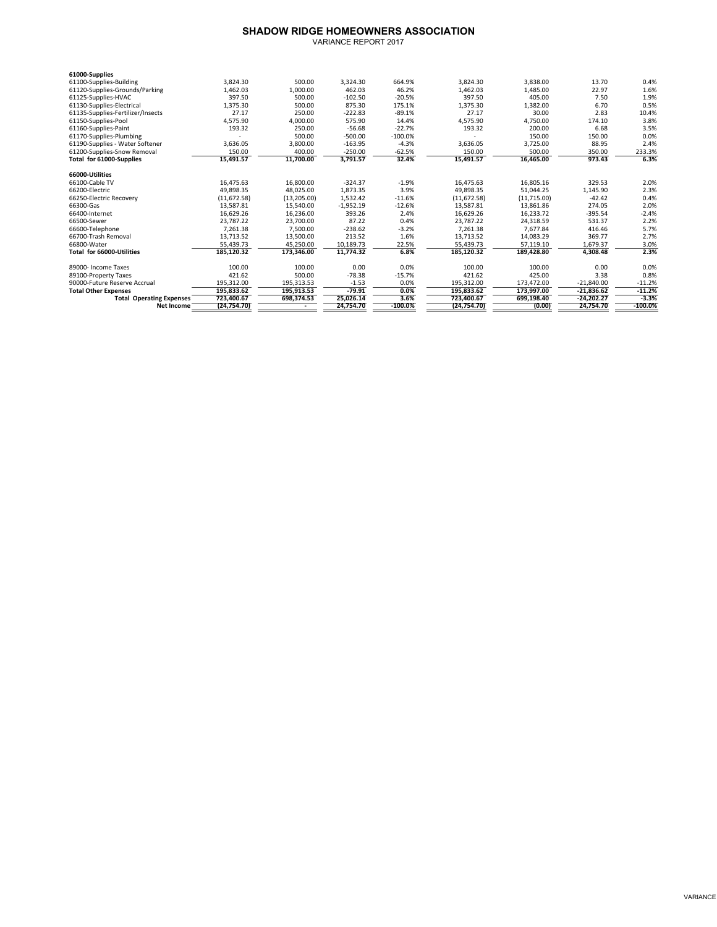## **SHADOW RIDGE HOMEOWNERS ASSOCIATION**

| VARIANCE REPORT 2017 |  |
|----------------------|--|
|                      |  |

| 61000-Supplies                    |              |             |             |            |              |             |              |            |
|-----------------------------------|--------------|-------------|-------------|------------|--------------|-------------|--------------|------------|
| 61100-Supplies-Building           | 3,824.30     | 500.00      | 3,324.30    | 664.9%     | 3,824.30     | 3,838.00    | 13.70        | 0.4%       |
| 61120-Supplies-Grounds/Parking    | 1,462.03     | 1,000.00    | 462.03      | 46.2%      | 1,462.03     | 1,485.00    | 22.97        | 1.6%       |
| 61125-Supplies-HVAC               | 397.50       | 500.00      | $-102.50$   | $-20.5%$   | 397.50       | 405.00      | 7.50         | 1.9%       |
| 61130-Supplies-Electrical         | 1,375.30     | 500.00      | 875.30      | 175.1%     | 1,375.30     | 1,382.00    | 6.70         | 0.5%       |
| 61135-Supplies-Fertilizer/Insects | 27.17        | 250.00      | $-222.83$   | $-89.1%$   | 27.17        | 30.00       | 2.83         | 10.4%      |
| 61150-Supplies-Pool               | 4,575.90     | 4.000.00    | 575.90      | 14.4%      | 4,575.90     | 4,750.00    | 174.10       | 3.8%       |
| 61160-Supplies-Paint              | 193.32       | 250.00      | $-56.68$    | $-22.7%$   | 193.32       | 200.00      | 6.68         | 3.5%       |
| 61170-Supplies-Plumbing           |              | 500.00      | $-500.00$   | $-100.0%$  |              | 150.00      | 150.00       | 0.0%       |
| 61190-Supplies - Water Softener   | 3,636.05     | 3.800.00    | $-163.95$   | $-4.3%$    | 3,636.05     | 3,725.00    | 88.95        | 2.4%       |
| 61200-Supplies-Snow Removal       | 150.00       | 400.00      | $-250.00$   | $-62.5%$   | 150.00       | 500.00      | 350.00       | 233.3%     |
| Total for 61000-Supplies          | 15,491.57    | 11,700.00   | 3,791.57    | 32.4%      | 15,491.57    | 16,465.00   | 973.43       | 6.3%       |
| 66000-Utilities                   |              |             |             |            |              |             |              |            |
| 66100-Cable TV                    | 16,475.63    | 16,800.00   | $-324.37$   | $-1.9%$    | 16,475.63    | 16,805.16   | 329.53       | 2.0%       |
| 66200-Electric                    | 49.898.35    | 48.025.00   | 1,873.35    | 3.9%       | 49.898.35    | 51.044.25   | 1,145.90     | 2.3%       |
| 66250-Electric Recovery           | (11, 672.58) | (13,205.00) | 1,532.42    | $-11.6%$   | (11, 672.58) | (11,715.00) | $-42.42$     | 0.4%       |
| 66300-Gas                         | 13,587.81    | 15,540.00   | $-1,952.19$ | $-12.6%$   | 13,587.81    | 13,861.86   | 274.05       | 2.0%       |
| 66400-Internet                    | 16.629.26    | 16.236.00   | 393.26      | 2.4%       | 16.629.26    | 16.233.72   | $-395.54$    | $-2.4%$    |
| 66500-Sewer                       | 23,787.22    | 23,700.00   | 87.22       | 0.4%       | 23,787.22    | 24,318.59   | 531.37       | 2.2%       |
| 66600-Telephone                   | 7.261.38     | 7.500.00    | $-238.62$   | $-3.2%$    | 7.261.38     | 7.677.84    | 416.46       | 5.7%       |
| 66700-Trash Removal               | 13,713.52    | 13,500.00   | 213.52      | 1.6%       | 13,713.52    | 14,083.29   | 369.77       | 2.7%       |
| 66800-Water                       | 55,439.73    | 45,250.00   | 10,189.73   | 22.5%      | 55,439.73    | 57,119.10   | 1.679.37     | 3.0%       |
| Total for 66000-Utilities         | 185,120.32   | 173,346.00  | 11,774.32   | 6.8%       | 185,120.32   | 189,428.80  | 4,308.48     | 2.3%       |
| 89000- Income Taxes               | 100.00       | 100.00      | 0.00        | 0.0%       | 100.00       | 100.00      | 0.00         | 0.0%       |
| 89100-Property Taxes              | 421.62       | 500.00      | $-78.38$    | $-15.7%$   | 421.62       | 425.00      | 3.38         | 0.8%       |
| 90000-Future Reserve Accrual      | 195.312.00   | 195.313.53  | $-1.53$     | 0.0%       | 195.312.00   | 173.472.00  | $-21.840.00$ | $-11.2%$   |
| <b>Total Other Expenses</b>       | 195,833.62   | 195.913.53  | $-79.91$    | 0.0%       | 195,833.62   | 173,997.00  | $-21,836.62$ | $-11.2%$   |
| <b>Total Operating Expenses</b>   | 723.400.67   | 698,374.53  | 25,026.14   | 3.6%       | 723.400.67   | 699.198.40  | $-24.202.27$ | $-3.3%$    |
| Net Income                        | (24, 754.70) |             | 24,754.70   | $-100.0\%$ | (24, 754.70) | (0.00)      | 24,754.70    | $-100.0\%$ |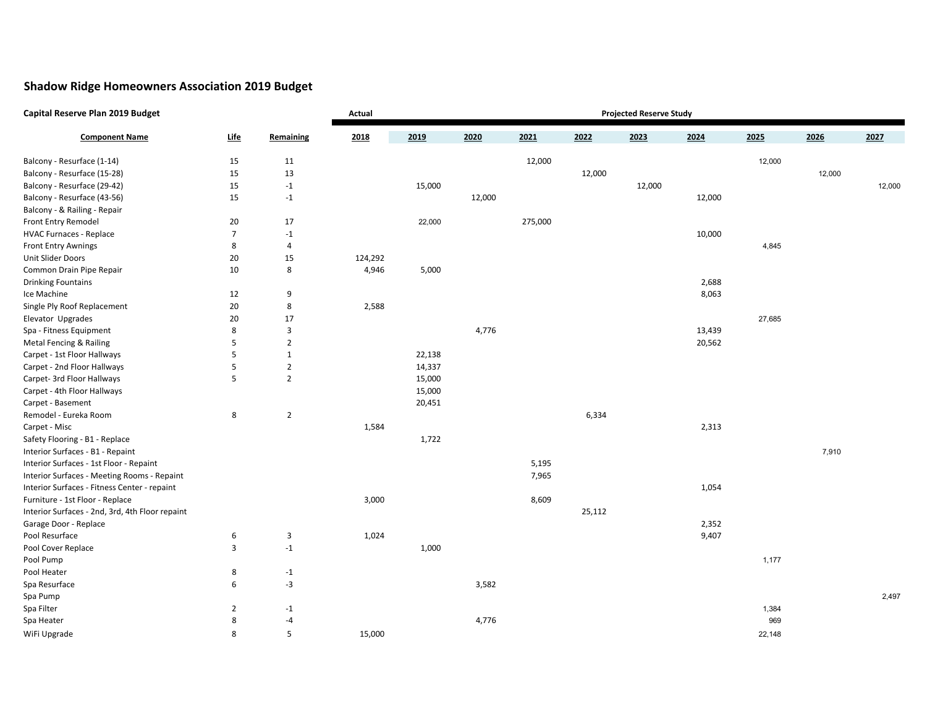## **Shadow Ridge Homeowners Association 2019 Budget**

| Capital Reserve Plan 2019 Budget                | <b>Projected Reserve Study</b><br>Actual |                |         |        |        |         |        |        |        |        |        |        |
|-------------------------------------------------|------------------------------------------|----------------|---------|--------|--------|---------|--------|--------|--------|--------|--------|--------|
| <b>Component Name</b>                           | <u>Life</u>                              | Remaining      | 2018    | 2019   | 2020   | 2021    | 2022   | 2023   | 2024   | 2025   | 2026   | 2027   |
| Balcony - Resurface (1-14)                      | 15                                       | 11             |         |        |        | 12,000  |        |        |        | 12,000 |        |        |
| Balcony - Resurface (15-28)                     | 15                                       | 13             |         |        |        |         | 12,000 |        |        |        | 12,000 |        |
| Balcony - Resurface (29-42)                     | 15                                       | $-1$           |         | 15,000 |        |         |        | 12,000 |        |        |        | 12,000 |
| Balcony - Resurface (43-56)                     | 15                                       | $-1$           |         |        | 12,000 |         |        |        | 12,000 |        |        |        |
| Balcony - & Railing - Repair                    |                                          |                |         |        |        |         |        |        |        |        |        |        |
| Front Entry Remodel                             | 20                                       | 17             |         | 22,000 |        | 275,000 |        |        |        |        |        |        |
| <b>HVAC Furnaces - Replace</b>                  | $\overline{7}$                           | $-1$           |         |        |        |         |        |        | 10,000 |        |        |        |
| <b>Front Entry Awnings</b>                      | 8                                        | $\overline{4}$ |         |        |        |         |        |        |        | 4,845  |        |        |
| Unit Slider Doors                               | 20                                       | 15             | 124,292 |        |        |         |        |        |        |        |        |        |
| Common Drain Pipe Repair                        | 10                                       | 8              | 4,946   | 5,000  |        |         |        |        |        |        |        |        |
| <b>Drinking Fountains</b>                       |                                          |                |         |        |        |         |        |        | 2,688  |        |        |        |
| Ice Machine                                     | 12                                       | 9              |         |        |        |         |        |        | 8,063  |        |        |        |
| Single Ply Roof Replacement                     | 20                                       | 8              | 2,588   |        |        |         |        |        |        |        |        |        |
| Elevator Upgrades                               | 20                                       | 17             |         |        |        |         |        |        |        | 27,685 |        |        |
| Spa - Fitness Equipment                         | 8                                        | 3              |         |        | 4,776  |         |        |        | 13,439 |        |        |        |
| Metal Fencing & Railing                         | 5                                        | $\overline{2}$ |         |        |        |         |        |        | 20,562 |        |        |        |
| Carpet - 1st Floor Hallways                     | 5                                        | $\mathbf{1}$   |         | 22,138 |        |         |        |        |        |        |        |        |
| Carpet - 2nd Floor Hallways                     | 5                                        | $\overline{2}$ |         | 14,337 |        |         |        |        |        |        |        |        |
| Carpet- 3rd Floor Hallways                      | 5                                        | $\overline{2}$ |         | 15,000 |        |         |        |        |        |        |        |        |
| Carpet - 4th Floor Hallways                     |                                          |                |         | 15,000 |        |         |        |        |        |        |        |        |
| Carpet - Basement                               |                                          |                |         | 20,451 |        |         |        |        |        |        |        |        |
| Remodel - Eureka Room                           | 8                                        | $\overline{2}$ |         |        |        |         | 6,334  |        |        |        |        |        |
| Carpet - Misc                                   |                                          |                | 1,584   |        |        |         |        |        | 2,313  |        |        |        |
| Safety Flooring - B1 - Replace                  |                                          |                |         | 1,722  |        |         |        |        |        |        |        |        |
| Interior Surfaces - B1 - Repaint                |                                          |                |         |        |        |         |        |        |        |        | 7,910  |        |
| Interior Surfaces - 1st Floor - Repaint         |                                          |                |         |        |        | 5,195   |        |        |        |        |        |        |
| Interior Surfaces - Meeting Rooms - Repaint     |                                          |                |         |        |        | 7,965   |        |        |        |        |        |        |
| Interior Surfaces - Fitness Center - repaint    |                                          |                |         |        |        |         |        |        | 1,054  |        |        |        |
| Furniture - 1st Floor - Replace                 |                                          |                | 3,000   |        |        | 8,609   |        |        |        |        |        |        |
| Interior Surfaces - 2nd, 3rd, 4th Floor repaint |                                          |                |         |        |        |         | 25,112 |        |        |        |        |        |
| Garage Door - Replace                           |                                          |                |         |        |        |         |        |        | 2,352  |        |        |        |
| Pool Resurface                                  | 6                                        | $\overline{3}$ | 1,024   |        |        |         |        |        | 9,407  |        |        |        |
| Pool Cover Replace                              | 3                                        | $-1$           |         | 1,000  |        |         |        |        |        |        |        |        |
| Pool Pump                                       |                                          |                |         |        |        |         |        |        |        | 1,177  |        |        |
| Pool Heater                                     | 8                                        | $-1$           |         |        |        |         |        |        |        |        |        |        |
| Spa Resurface                                   | 6                                        | $-3$           |         |        | 3,582  |         |        |        |        |        |        |        |
| Spa Pump                                        |                                          |                |         |        |        |         |        |        |        |        |        | 2,497  |
| Spa Filter                                      | $\overline{2}$                           | $-1$           |         |        |        |         |        |        |        | 1,384  |        |        |
| Spa Heater                                      | 8                                        | -4             |         |        | 4,776  |         |        |        |        | 969    |        |        |
| WiFi Upgrade                                    | 8                                        | 5              | 15,000  |        |        |         |        |        |        | 22,148 |        |        |